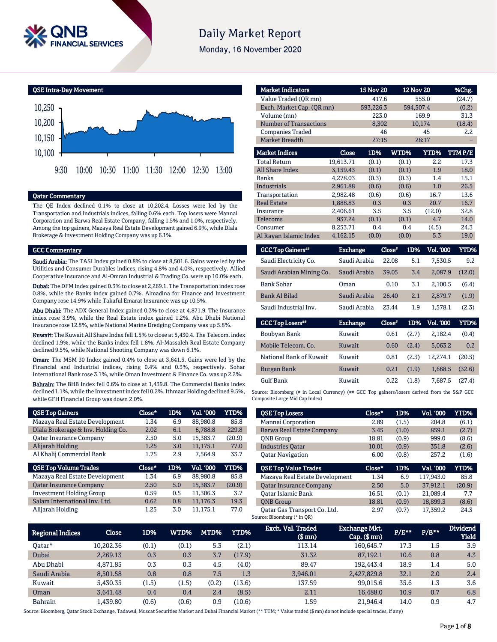

# **Daily Market Report**

Monday, 16 November 2020



## Qatar Commentary

The QE Index declined 0.1% to close at 10,202.4. Losses were led by the Transportation and Industrials indices, falling 0.6% each. Top losers were Mannai Corporation and Barwa Real Estate Company, falling 1.5% and 1.0%, respectively. Among the top gainers, Mazaya Real Estate Development gained 6.9%, while Dlala Brokerage & Investment Holding Company was up 6.1%.

#### GCC Commentary

Saudi Arabia: The TASI Index gained 0.8% to close at 8,501.6. Gains were led by the Utilities and Consumer Durables indices, rising 4.8% and 4.0%, respectively. Allied Cooperative Insurance and Al-Omran Industrial & Trading Co. were up 10.0% each.

Dubai: The DFM Index gained 0.3% to close at 2,269.1. The Transportation index rose 0.8%, while the Banks index gained 0.7%. Almadina for Finance and Investment Company rose 14.9% while Takaful Emarat Insurance was up 10.5%.

Abu Dhabi: The ADX General Index gained 0.3% to close at 4,871.9. The Insurance index rose 3.9%, while the Real Estate index gained 1.2%. Abu Dhabi National Insurance rose 12.8%, while National Marine Dredging Company was up 5.8%.

Kuwait: The Kuwait All Share Index fell 1.5% to close at 5,430.4. The Telecom. index declined 1.9%, while the Banks index fell 1.8%. Al-Massaleh Real Estate Company declined 9.5%, while National Shooting Company was down 6.1%.

Oman: The MSM 30 Index gained 0.4% to close at 3,641.5. Gains were led by the Financial and Industrial indices, rising 0.4% and 0.3%, respectively. Sohar International Bank rose 3.1%, while Oman Investment & Finance Co. was up 2.2%.

Bahrain: The BHB Index fell 0.6% to close at 1,439.8. The Commercial Banks index declined 1.1%, while the Investment index fell 0.2%. Ithmaar Holding declined 9.5%, while GFH Financial Group was down 2.0%.

| <b>QSE Top Gainers</b>             | Close* | 1D% | Vol. '000 | <b>YTD%</b> |
|------------------------------------|--------|-----|-----------|-------------|
| Mazaya Real Estate Development     | 1.34   | 6.9 | 88,980.8  | 85.8        |
| Dlala Brokerage & Inv. Holding Co. | 2.02   | 6.1 | 6,788.8   | 229.8       |
| <b>Oatar Insurance Company</b>     | 2.50   | 5.0 | 15,383.7  | (20.9)      |
| Alijarah Holding                   | 1.25   | 3.0 | 11,175.1  | 77.0        |
| Al Khalij Commercial Bank          | 1.75   | 2.9 | 7.564.9   | 33.7        |
|                                    |        |     |           |             |
| <b>QSE Top Volume Trades</b>       | Close* | 1D% | Vol. '000 | YTD%        |
| Mazaya Real Estate Development     | 1.34   | 6.9 | 88,980.8  | 85.8        |
| <b>Qatar Insurance Company</b>     | 2.50   | 5.0 | 15,383.7  | (20.9)      |
| <b>Investment Holding Group</b>    | 0.59   | 0.5 | 11,306.3  | 3.7         |
| Salam International Inv. Ltd.      | 0.62   | 0.8 | 11,176.3  | 19.3        |

| <b>Market Indicators</b>      |              | <b>15 Nov 20</b> |       | <b>12 Nov 20</b> | %Chg.  |
|-------------------------------|--------------|------------------|-------|------------------|--------|
| Value Traded (OR mn)          |              | 417.6            |       | 555.0            | (24.7) |
| Exch. Market Cap. (QR mn)     |              | 593,226.3        |       | 594,507.4        | (0.2)  |
| Volume (mn)                   |              | 223.0            |       | 169.9            | 31.3   |
| <b>Number of Transactions</b> |              | 8,302            |       | 10,174           | (18.4) |
| <b>Companies Traded</b>       |              | 46               |       | 45               | 2.2    |
| Market Breadth                |              | 27:15            |       | 28:17            |        |
| <b>Market Indices</b>         | <b>Close</b> | 1D%              | WTD%  | YTD%             | TTMP/E |
| <b>Total Return</b>           | 19,613.71    | (0.1)            | (0.1) | 2.2              | 17.3   |
| <b>All Share Index</b>        | 3,159.43     | (0.1)            | (0.1) | 1.9              | 18.0   |
| <b>Banks</b>                  | 4,278.03     | (0.3)            | (0.3) | 1.4              | 15.1   |
| <b>Industrials</b>            | 2.961.88     | (0.6)            | (0.6) | 1.0              | 26.5   |
| Transportation                | 2,982.48     | (0.6)            | (0.6) | 16.7             | 13.6   |
| <b>Real Estate</b>            | 1,888.83     | 0.3              | 0.3   | 20.7             | 16.7   |
| Insurance                     | 2.406.61     | 3.5              | 3.5   | (12.0)           | 32.8   |
| Telecoms                      | 937.24       | (0.1)            | (0.1) | 4.7              | 14.0   |
| Consumer                      | 8,253.71     | 0.4              | 0.4   | (4.5)            | 24.3   |
| Al Rayan Islamic Index        | 4,162.15     | (0.0)            | (0.0) | 5.3              | 19.0   |

| <b>GCC Top Gainers**</b> | Exchange        | Close* | 1D%   | Vol. '000 | YTD%   |
|--------------------------|-----------------|--------|-------|-----------|--------|
| Saudi Electricity Co.    | Saudi Arabia    | 22.08  | 5.1   | 7,530.5   | 9.2    |
| Saudi Arabian Mining Co. | Saudi Arabia    | 39.05  | 3.4   | 2,087.9   | (12.0) |
| <b>Bank Sohar</b>        | Oman            | 0.10   | 3.1   | 2.100.5   | (6.4)  |
| Bank Al Bilad            | Saudi Arabia    | 26.40  | 2.1   | 2,879.7   | (1.9)  |
| Saudi Industrial Inv.    | Saudi Arabia    | 23.44  | 1.9   | 1.578.1   | (2.3)  |
| <b>GCC Top Losers</b> "  | <b>Exchange</b> | Close* | 1D%   | Vol. '000 | YTD%   |
| Boubyan Bank             | Kuwait          | 0.61   | (2.7) | 2,182.4   | (0.4)  |
| Mobile Telecom. Co.      | Kuwait          | 0.60   | (2.4) | 5.063.2   | 0.2    |

| Mobile Telecom. Co.     | <b>Kuwait</b> | $0.60 -$ | (2.4) | 5.063.2                   | 0.2 |
|-------------------------|---------------|----------|-------|---------------------------|-----|
| National Bank of Kuwait | Kuwait        | 0.81     |       | $(2.3)$ 12.274.1 $(20.5)$ |     |
| Burgan Bank             | Kuwait        | 0.21     | (1.9) | $1.668.5$ (32.6)          |     |
| <b>Gulf Bank</b>        | Kuwait        | 0.22     | (1.8) | 7.687.5 (27.4)            |     |

Source: Bloomberg (# in Local Currency) (## GCC Top gainers/losers derived from the S&P GCC Composite Large Mid Cap Index)

| <b>QSE Top Losers</b>          | Close* | 1D%   | <b>Vol. '000</b> | YTD%   |
|--------------------------------|--------|-------|------------------|--------|
| Mannai Corporation             | 2.89   | (1.5) | 204.8            | (6.1)  |
| Barwa Real Estate Company      | 3.45   | (1.0) | 859.1            | (2.7)  |
| <b>ONB</b> Group               | 18.81  | (0.9) | 999.0            | (8.6)  |
| <b>Industries Oatar</b>        | 10.01  | (0.9) | 351.8            | (2.6)  |
| <b>Oatar Navigation</b>        | 6.00   | (0.8) | 257.2            | (1.6)  |
|                                |        |       |                  |        |
| <b>OSE Top Value Trades</b>    | Close* | 1D%   | Val. '000        | YTD%   |
| Mazaya Real Estate Development | 1.34   | 6.9   | 117.943.0        | 85.8   |
| <b>Oatar Insurance Company</b> | 2.50   | 5.0   | 37.912.1         | (20.9) |
| Oatar Islamic Bank             | 16.51  | (0.1) | 21.089.4         | 7.7    |
| <b>ONB</b> Group               | 18.81  | (0.9) | 18,899.3         | (8.6)  |

| <b>Regional Indices</b> | <b>Close</b> | 1D%   | WTD%  | MTD%  | YTD%   | Exch. Val. Traded<br>(\$ mn) | <b>Exchange Mkt.</b><br>$Cap.$ (\$ $mn$ ) | $P/E***$ | $P/B**$ | <b>Dividend</b><br><b>Yield</b> |
|-------------------------|--------------|-------|-------|-------|--------|------------------------------|-------------------------------------------|----------|---------|---------------------------------|
| Oatar*                  | 10.202.36    | (0.1) | (0.1) | 5.3   | (2.1)  | 113.14                       | 160.645.7                                 | 17.3     | $1.5\,$ | 3.9                             |
| Dubai                   | 2.269.13     | 0.3   | 0.3   | 3.7   | (17.9) | 31.32                        | 87.192.1                                  | 10.6     | 0.8     | 4.3                             |
| Abu Dhabi               | 4.871.85     | 0.3   | 0.3   | 4.5   | (4.0)  | 89.47                        | 192.443.4                                 | 18.9     | 1.4     | 5.0                             |
| Saudi Arabia            | 8.501.58     | 0.8   | 0.8   | 7.5   | 1.3    | 3,946.01                     | 2.427.829.8                               | 32.1     | 2.0     | 2.4                             |
| Kuwait                  | 5.430.35     | (1.5) | (1.5) | (0.2) | (13.6) | 137.59                       | 99,015.6                                  | 35.6     | 1.3     | 3.6                             |
| Oman                    | 3.641.48     | 0.4   | 0.4   | 2.4   | (8.5)  | 2.11                         | 16,488.0                                  | 10.9     | 0.7     | 6.8                             |
| Bahrain                 | .439.80      | (0.6) | (0.6) | 0.9   | (10.6) | 1.59                         | 21.946.4                                  | 14.0     | 0.9     | 4.7                             |

Source: Bloomberg, Qatar Stock Exchange, Tadawul, Muscat Securities Market and Dubai Financial Market (\*\* TTM; \* Value traded (\$ mn) do not include special trades, if any)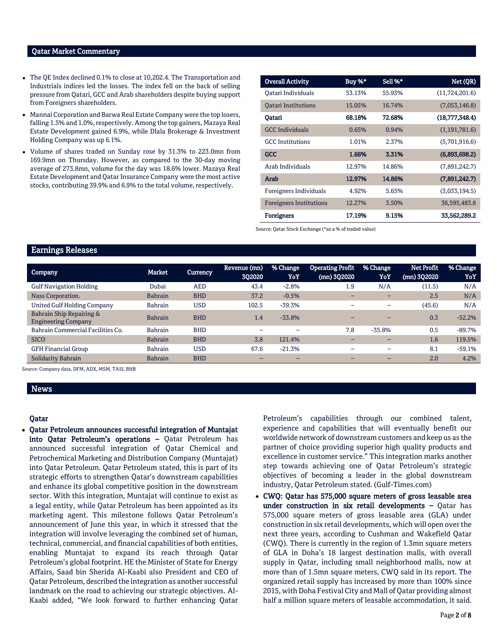### Qatar Market Commentary

- The QE Index declined 0.1% to close at 10,202.4. The Transportation and Industrials indices led the losses. The index fell on the back of selling pressure from Qatari, GCC and Arab shareholders despite buying support from Foreigners shareholders.
- Mannai Corporation and Barwa Real Estate Company were the top losers, falling 1.5% and 1.0%, respectively. Among the top gainers, Mazaya Real Estate Development gained 6.9%, while Dlala Brokerage & Investment Holding Company was up 6.1%.
- Volume of shares traded on Sunday rose by 31.3% to 223.0mn from 169.9mn on Thursday. However, as compared to the 30-day moving average of 273.8mn, volume for the day was 18.6% lower. Mazaya Real Estate Development and Qatar Insurance Company were the most active stocks, contributing 39.9% and 6.9% to the total volume, respectively.

| <b>Overall Activity</b>        | Buy %* | Sell %* | Net (QR)         |
|--------------------------------|--------|---------|------------------|
| Qatari Individuals             | 53.13% | 55.93%  | (11, 724, 201.6) |
| <b>Oatari Institutions</b>     | 15.05% | 16.74%  | (7,053,146.8)    |
| Oatari                         | 68.18% | 72.68%  | (18,777,348.4)   |
| <b>GCC</b> Individuals         | 0.65%  | 0.94%   | (1, 191, 781.6)  |
| <b>GCC</b> Institutions        | 1.01%  | 2.37%   | (5,701,916.6)    |
| GCC                            | 1.66%  | 3.31%   | (6,893,698.2)    |
| Arab Individuals               | 12.97% | 14.86%  | (7,891,242.7)    |
| Arab                           | 12.97% | 14.86%  | (7,891,242.7)    |
| Foreigners Individuals         | 4.92%  | 5.65%   | (3,033,194.5)    |
| <b>Foreigners Institutions</b> | 12.27% | 3.50%   | 36,595,483.8     |
| <b>Foreigners</b>              | 17.19% | 9.15%   | 33,562,289.2     |

Source: Qatar Stock Exchange (\*as a % of traded value)

## Earnings Releases

| <b>Company</b>                                         | Market         | <b>Currency</b> | Revenue (mn)<br>302020 | % Change<br>YoY | <b>Operating Profit</b><br>(mn) 302020 | % Change<br>YoY          | <b>Net Profit</b><br>(mn) 302020 | % Change<br>YoY |
|--------------------------------------------------------|----------------|-----------------|------------------------|-----------------|----------------------------------------|--------------------------|----------------------------------|-----------------|
| <b>Gulf Navigation Holding</b>                         | Dubai          | <b>AED</b>      | 43.4                   | $-2.8%$         | 1.9                                    | N/A                      | (11.5)                           | N/A             |
| Nass Corporation.                                      | <b>Bahrain</b> | <b>BHD</b>      | 37.2                   | $-0.5%$         |                                        |                          | 2.5                              | N/A             |
| <b>United Gulf Holding Company</b>                     | <b>Bahrain</b> | <b>USD</b>      | 102.5                  | $-39.3%$        | $\overline{\phantom{0}}$               | $\overline{\phantom{m}}$ | (45.6)                           | N/A             |
| Bahrain Ship Repairing &<br><b>Engineering Company</b> | <b>Bahrain</b> | <b>BHD</b>      | 1.4                    | $-33.8%$        |                                        | $\overline{\phantom{0}}$ | 0.3                              | $-52.2%$        |
| Bahrain Commercial Facilities Co.                      | <b>Bahrain</b> | <b>BHD</b>      |                        |                 | 7.8                                    | $-35.8%$                 | 0.5                              | $-89.7%$        |
| <b>SICO</b>                                            | <b>Bahrain</b> | <b>BHD</b>      | 3.8                    | 121.4%          |                                        | $\overline{\phantom{0}}$ | 1.6                              | 119.5%          |
| <b>GFH Financial Group</b>                             | Bahrain        | <b>USD</b>      | 67.6                   | $-21.3%$        |                                        | -                        | 8.1                              | $-59.1%$        |
| Solidarity Bahrain                                     | <b>Bahrain</b> | <b>BHD</b>      | -                      | -               |                                        |                          | 2.0                              | 4.2%            |

Source: Company data, DFM, ADX, MSM, TASI, BHB

# News

### Qatar

 Qatar Petroleum announces successful integration of Muntajat into Qatar Petroleum's operations – Qatar Petroleum has announced successful integration of Qatar Chemical and Petrochemical Marketing and Distribution Company (Muntajat) into Qatar Petroleum. Qatar Petroleum stated, this is part of its strategic efforts to strengthen Qatar's downstream capabilities and enhance its global competitive position in the downstream sector. With this integration, Muntajat will continue to exist as a legal entity, while Qatar Petroleum has been appointed as its marketing agent. This milestone follows Qatar Petroleum's announcement of June this year, in which it stressed that the integration will involve leveraging the combined set of human, technical, commercial, and financial capabilities of both entities, enabling Muntajat to expand its reach through Qatar Petroleum's global footprint. HE the Minister of State for Energy Affairs, Saad bin Sherida Al-Kaabi also President and CEO of Qatar Petroleum, described the integration as another successful landmark on the road to achieving our strategic objectives. Al-Kaabi added, "We look forward to further enhancing Qatar

Petroleum's capabilities through our combined talent, experience and capabilities that will eventually benefit our worldwide network of downstream customers and keep us as the partner of choice providing superior high quality products and excellence in customer service." This integration marks another step towards achieving one of Qatar Petroleum's strategic objectives of becoming a leader in the global downstream industry, Qatar Petroleum stated. (Gulf-Times.com)

 CWQ: Qatar has 575,000 square meters of gross leasable area under construction in six retail developments – Qatar has 575,000 square meters of gross leasable area (GLA) under construction in six retail developments, which will open over the next three years, according to Cushman and Wakefield Qatar (CWQ). There is currently in the region of 1.3mn square meters of GLA in Doha's 18 largest destination malls, with overall supply in Qatar, including small neighborhood malls, now at more than of 1.5mn square meters, CWQ said in its report. The organized retail supply has increased by more than 100% since 2015, with Doha Festival City and Mall of Qatar providing almost half a million square meters of leasable accommodation, it said.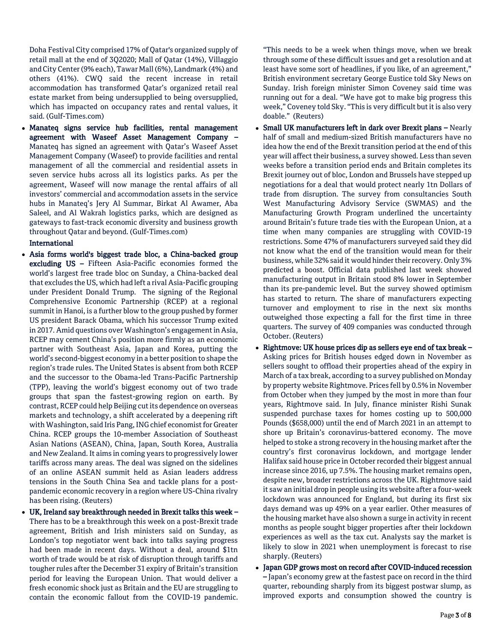Doha Festival City comprised 17% of Qatar's organized supply of retail mall at the end of 3Q2020; Mall of Qatar (14%), Villaggio and City Center (9% each), Tawar Mall (6%), Landmark (4%) and others (41%). CWQ said the recent increase in retail accommodation has transformed Qatar's organized retail real estate market from being undersupplied to being oversupplied, which has impacted on occupancy rates and rental values, it said. (Gulf-Times.com)

 Manateq signs service hub facilities, rental management agreement with Waseef Asset Management Company – Manateq has signed an agreement with Qatar's Waseef Asset Management Company (Waseef) to provide facilities and rental management of all the commercial and residential assets in seven service hubs across all its logistics parks. As per the agreement, Waseef will now manage the rental affairs of all investors' commercial and accommodation assets in the service hubs in Manateq's Jery Al Summar, Birkat Al Awamer, Aba Saleel, and Al Wakrah logistics parks, which are designed as gateways to fast-track economic diversity and business growth throughout Qatar and beyond. (Gulf-Times.com)

# International

- Asia forms world's biggest trade bloc, a China-backed group excluding US – Fifteen Asia-Pacific economies formed the world's largest free trade bloc on Sunday, a China-backed deal that excludes the US, which had left a rival Asia-Pacific grouping under President Donald Trump. The signing of the Regional Comprehensive Economic Partnership (RCEP) at a regional summit in Hanoi, is a further blow to the group pushed by former US president Barack Obama, which his successor Trump exited in 2017. Amid questions over Washington's engagement in Asia, RCEP may cement China's position more firmly as an economic partner with Southeast Asia, Japan and Korea, putting the world's second-biggest economy in a better position to shape the region's trade rules. The United States is absent from both RCEP and the successor to the Obama-led Trans-Pacific Partnership (TPP), leaving the world's biggest economy out of two trade groups that span the fastest-growing region on earth. By contrast, RCEP could help Beijing cut its dependence on overseas markets and technology, a shift accelerated by a deepening rift with Washington, said Iris Pang, ING chief economist for Greater China. RCEP groups the 10-member Association of Southeast Asian Nations (ASEAN), China, Japan, South Korea, Australia and New Zealand. It aims in coming years to progressively lower tariffs across many areas. The deal was signed on the sidelines of an online ASEAN summit held as Asian leaders address tensions in the South China Sea and tackle plans for a postpandemic economic recovery in a region where US-China rivalry has been rising. (Reuters)
- UK, Ireland say breakthrough needed in Brexit talks this week There has to be a breakthrough this week on a post-Brexit trade agreement, British and Irish ministers said on Sunday, as London's top negotiator went back into talks saying progress had been made in recent days. Without a deal, around \$1tn worth of trade would be at risk of disruption through tariffs and tougher rules after the December 31 expiry of Britain's transition period for leaving the European Union. That would deliver a fresh economic shock just as Britain and the EU are struggling to contain the economic fallout from the COVID-19 pandemic.

"This needs to be a week when things move, when we break through some of these difficult issues and get a resolution and at least have some sort of headlines, if you like, of an agreement," British environment secretary George Eustice told Sky News on Sunday. Irish foreign minister Simon Coveney said time was running out for a deal. "We have got to make big progress this week," Coveney told Sky. "This is very difficult but it is also very doable." (Reuters)

- Small UK manufacturers left in dark over Brexit plans Nearly half of small and medium-sized British manufacturers have no idea how the end of the Brexit transition period at the end of this year will affect their business, a survey showed. Less than seven weeks before a transition period ends and Britain completes its Brexit journey out of bloc, London and Brussels have stepped up negotiations for a deal that would protect nearly 1tn Dollars of trade from disruption. The survey from consultancies South West Manufacturing Advisory Service (SWMAS) and the Manufacturing Growth Program underlined the uncertainty around Britain's future trade ties with the European Union, at a time when many companies are struggling with COVID-19 restrictions. Some 47% of manufacturers surveyed said they did not know what the end of the transition would mean for their business, while 32% said it would hinder their recovery. Only 3% predicted a boost. Official data published last week showed manufacturing output in Britain stood 8% lower in September than its pre-pandemic level. But the survey showed optimism has started to return. The share of manufacturers expecting turnover and employment to rise in the next six months outweighed those expecting a fall for the first time in three quarters. The survey of 409 companies was conducted through October. (Reuters)
- Rightmove: UK house prices dip as sellers eye end of tax break -Asking prices for British houses edged down in November as sellers sought to offload their properties ahead of the expiry in March of a tax break, according to a survey published on Monday by property website Rightmove. Prices fell by 0.5% in November from October when they jumped by the most in more than four years, Rightmove said. In July, finance minister Rishi Sunak suspended purchase taxes for homes costing up to 500,000 Pounds (\$658,000) until the end of March 2021 in an attempt to shore up Britain's coronavirus-battered economy. The move helped to stoke a strong recovery in the housing market after the country's first coronavirus lockdown, and mortgage lender Halifax said house price in October recorded their biggest annual increase since 2016, up 7.5%. The housing market remains open, despite new, broader restrictions across the UK. Rightmove said it saw an initial drop in people using its website after a four-week lockdown was announced for England, but during its first six days demand was up 49% on a year earlier. Other measures of the housing market have also shown a surge in activity in recent months as people sought bigger properties after their lockdown experiences as well as the tax cut. Analysts say the market is likely to slow in 2021 when unemployment is forecast to rise sharply. (Reuters)
- Japan GDP grows most on record after COVID-induced recession – Japan's economy grew at the fastest pace on record in the third quarter, rebounding sharply from its biggest postwar slump, as improved exports and consumption showed the country is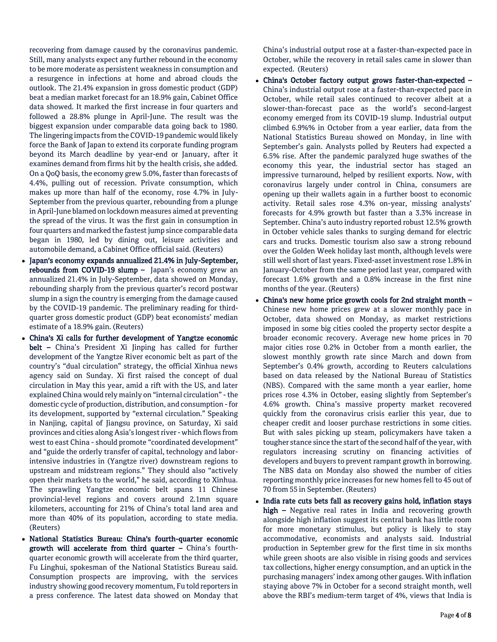recovering from damage caused by the coronavirus pandemic. Still, many analysts expect any further rebound in the economy to be more moderate as persistent weakness in consumption and a resurgence in infections at home and abroad clouds the outlook. The 21.4% expansion in gross domestic product (GDP) beat a median market forecast for an 18.9% gain, Cabinet Office data showed. It marked the first increase in four quarters and followed a 28.8% plunge in April-June. The result was the biggest expansion under comparable data going back to 1980. The lingering impacts from the COVID-19 pandemic would likely force the Bank of Japan to extend its corporate funding program beyond its March deadline by year-end or January, after it examines demand from firms hit by the health crisis, she added. On a QoQ basis, the economy grew 5.0%, faster than forecasts of 4.4%, pulling out of recession. Private consumption, which makes up more than half of the economy, rose 4.7% in July-September from the previous quarter, rebounding from a plunge in April-June blamed on lockdown measures aimed at preventing the spread of the virus. It was the first gain in consumption in four quarters and marked the fastest jump since comparable data began in 1980, led by dining out, leisure activities and automobile demand, a Cabinet Office official said. (Reuters)

- Japan's economy expands annualized 21.4% in July-September, rebounds from COVID-19 slump – Japan's economy grew an annualized 21.4% in July-September, data showed on Monday, rebounding sharply from the previous quarter's record postwar slump in a sign the country is emerging from the damage caused by the COVID-19 pandemic. The preliminary reading for thirdquarter gross domestic product (GDP) beat economists' median estimate of a 18.9% gain. (Reuters)
- China's Xi calls for further development of Yangtze economic belt – China's President Xi Jinping has called for further development of the Yangtze River economic belt as part of the country's "dual circulation" strategy, the official Xinhua news agency said on Sunday. Xi first raised the concept of dual circulation in May this year, amid a rift with the US, and later explained China would rely mainly on "internal circulation" - the domestic cycle of production, distribution, and consumption -for its development, supported by "external circulation." Speaking in Nanjing, capital of Jiangsu province, on Saturday, Xi said provinces and cities along Asia's longest river - which flows from west to east China - should promote "coordinated development" and "guide the orderly transfer of capital, technology and laborintensive industries in (Yangtze river) downstream regions to upstream and midstream regions." They should also "actively open their markets to the world," he said, according to Xinhua. The sprawling Yangtze economic belt spans 11 Chinese provincial-level regions and covers around 2.1mn square kilometers, accounting for 21% of China's total land area and more than 40% of its population, according to state media. (Reuters)
- National Statistics Bureau: China's fourth-quarter economic growth will accelerate from third quarter – China's fourthquarter economic growth will accelerate from the third quarter, Fu Linghui, spokesman of the National Statistics Bureau said. Consumption prospects are improving, with the services industry showing good recovery momentum, Fu told reporters in a press conference. The latest data showed on Monday that

China's industrial output rose at a faster-than-expected pace in October, while the recovery in retail sales came in slower than expected. (Reuters)

- China's October factory output grows faster-than-expected China's industrial output rose at a faster-than-expected pace in October, while retail sales continued to recover albeit at a slower-than-forecast pace as the world's second-largest economy emerged from its COVID-19 slump. Industrial output climbed 6.9%% in October from a year earlier, data from the National Statistics Bureau showed on Monday, in line with September's gain. Analysts polled by Reuters had expected a 6.5% rise. After the pandemic paralyzed huge swathes of the economy this year, the industrial sector has staged an impressive turnaround, helped by resilient exports. Now, with coronavirus largely under control in China, consumers are opening up their wallets again in a further boost to economic activity. Retail sales rose 4.3% on-year, missing analysts' forecasts for 4.9% growth but faster than a 3.3% increase in September. China's auto industry reported robust 12.5% growth in October vehicle sales thanks to surging demand for electric cars and trucks. Domestic tourism also saw a strong rebound over the Golden Week holiday last month, although levels were still well short of last years. Fixed-asset investment rose 1.8% in January-October from the same period last year, compared with forecast 1.6% growth and a 0.8% increase in the first nine months of the year. (Reuters)
- China's new home price growth cools for 2nd straight month Chinese new home prices grew at a slower monthly pace in October, data showed on Monday, as market restrictions imposed in some big cities cooled the property sector despite a broader economic recovery. Average new home prices in 70 major cities rose 0.2% in October from a month earlier, the slowest monthly growth rate since March and down from September's 0.4% growth, according to Reuters calculations based on data released by the National Bureau of Statistics (NBS). Compared with the same month a year earlier, home prices rose 4.3% in October, easing slightly from September's 4.6% growth. China's massive property market recovered quickly from the coronavirus crisis earlier this year, due to cheaper credit and looser purchase restrictions in some cities. But with sales picking up steam, policymakers have taken a tougher stance since the start of the second half of the year, with regulators increasing scrutiny on financing activities of developers and buyers to prevent rampant growth in borrowing. The NBS data on Monday also showed the number of cities reporting monthly price increases for new homes fell to 45 out of 70 from 55 in September. (Reuters)
- India rate cuts bets fall as recovery gains hold, inflation stays high – Negative real rates in India and recovering growth alongside high inflation suggest its central bank has little room for more monetary stimulus, but policy is likely to stay accommodative, economists and analysts said. Industrial production in September grew for the first time in six months while green shoots are also visible in rising goods and services tax collections, higher energy consumption, and an uptick in the purchasing managers' index among other gauges. With inflation staying above 7% in October for a second straight month, well above the RBI's medium-term target of 4%, views that India is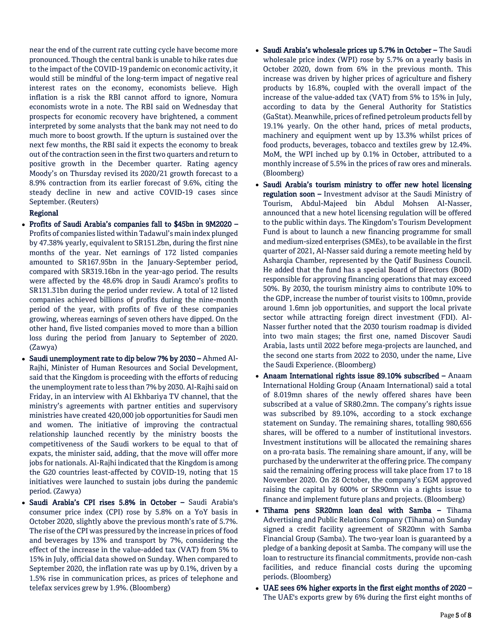near the end of the current rate cutting cycle have become more pronounced. Though the central bank is unable to hike rates due to the impact of the COVID-19 pandemic on economic activity, it would still be mindful of the long-term impact of negative real interest rates on the economy, economists believe. High inflation is a risk the RBI cannot afford to ignore, Nomura economists wrote in a note. The RBI said on Wednesday that prospects for economic recovery have brightened, a comment interpreted by some analysts that the bank may not need to do much more to boost growth. If the upturn is sustained over the next few months, the RBI said it expects the economy to break out of the contraction seen in the first two quarters and return to positive growth in the December quarter. Rating agency Moody's on Thursday revised its 2020/21 growth forecast to a 8.9% contraction from its earlier forecast of 9.6%, citing the steady decline in new and active COVID-19 cases since September. (Reuters)

### Regional

- Profits of Saudi Arabia's companies fall to \$45bn in 9M2020 Profits of companies listed within Tadawul's main index plunged by 47.38% yearly, equivalent to SR151.2bn, during the first nine months of the year. Net earnings of 172 listed companies amounted to SR167.95bn in the January-September period, compared with SR319.16bn in the year-ago period. The results were affected by the 48.6% drop in Saudi Aramco's profits to SR131.31bn during the period under review. A total of 12 listed companies achieved billions of profits during the nine-month period of the year, with profits of five of these companies growing, whereas earnings of seven others have dipped. On the other hand, five listed companies moved to more than a billion loss during the period from January to September of 2020. (Zawya)
- Saudi unemployment rate to dip below 7% by 2030 Ahmed Al-Rajhi, Minister of Human Resources and Social Development, said that the Kingdom is proceeding with the efforts of reducing the unemployment rate to less than 7% by 2030. Al-Rajhi said on Friday, in an interview with Al Ekhbariya TV channel, that the ministry's agreements with partner entities and supervisory ministries have created 420,000 job opportunities for Saudi men and women. The initiative of improving the contractual relationship launched recently by the ministry boosts the competitiveness of the Saudi workers to be equal to that of expats, the minister said, adding, that the move will offer more jobs for nationals. Al-Rajhi indicated that the Kingdom is among the G20 countries least-affected by COVID-19, noting that 15 initiatives were launched to sustain jobs during the pandemic period. (Zawya)
- Saudi Arabia's CPI rises 5.8% in October Saudi Arabia's consumer price index (CPI) rose by 5.8% on a YoY basis in October 2020, slightly above the previous month's rate of 5.7%. The rise of the CPI was pressured by the increase in prices of food and beverages by 13% and transport by 7%, considering the effect of the increase in the value-added tax (VAT) from 5% to 15% in July, official data showed on Sunday. When compared to September 2020, the inflation rate was up by 0.1%, driven by a 1.5% rise in communication prices, as prices of telephone and telefax services grew by 1.9%. (Bloomberg)
- Saudi Arabia's wholesale prices up 5.7% in October The Saudi wholesale price index (WPI) rose by 5.7% on a yearly basis in October 2020, down from 6% in the previous month. This increase was driven by higher prices of agriculture and fishery products by 16.8%, coupled with the overall impact of the increase of the value-added tax (VAT) from 5% to 15% in July, according to data by the General Authority for Statistics (GaStat). Meanwhile, prices of refined petroleum products fell by 19.1% yearly. On the other hand, prices of metal products, machinery and equipment went up by 13.3% whilst prices of food products, beverages, tobacco and textiles grew by 12.4%. MoM, the WPI inched up by 0.1% in October, attributed to a monthly increase of 5.5% in the prices of raw ores and minerals. (Bloomberg)
- Saudi Arabia's tourism ministry to offer new hotel licensing regulation soon – Investment advisor at the Saudi Ministry of Tourism, Abdul-Majeed bin Abdul Mohsen Al-Nasser, announced that a new hotel licensing regulation will be offered to the public within days. The Kingdom's Tourism Development Fund is about to launch a new financing programme for small and medium-sized enterprises (SMEs), to be available in the first quarter of 2021, Al-Nasser said during a remote meeting held by Asharqia Chamber, represented by the Qatif Business Council. He added that the fund has a special Board of Directors (BOD) responsible for approving financing operations that may exceed 50%. By 2030, the tourism ministry aims to contribute 10% to the GDP, increase the number of tourist visits to 100mn, provide around 1.6mn job opportunities, and support the local private sector while attracting foreign direct investment (FDI). Al-Nasser further noted that the 2030 tourism roadmap is divided into two main stages; the first one, named Discover Saudi Arabia, lasts until 2022 before mega-projects are launched, and the second one starts from 2022 to 2030, under the name, Live the Saudi Experience. (Bloomberg)
- Anaam International rights issue 89.10% subscribed Anaam International Holding Group (Anaam International) said a total of 8.019mn shares of the newly offered shares have been subscribed at a value of SR80.2mn. The company's rights issue was subscribed by 89.10%, according to a stock exchange statement on Sunday. The remaining shares, totalling 980,656 shares, will be offered to a number of institutional investors. Investment institutions will be allocated the remaining shares on a pro-rata basis. The remaining share amount, if any, will be purchased by the underwriter at the offering price. The company said the remaining offering process will take place from 17 to 18 November 2020. On 28 October, the company's EGM approved raising the capital by 600% or SR90mn via a rights issue to finance and implement future plans and projects. (Bloomberg)
- Tihama pens SR20mn loan deal with Samba Tihama Advertising and Public Relations Company (Tihama) on Sunday signed a credit facility agreement of SR20mn with Samba Financial Group (Samba). The two-year loan is guaranteed by a pledge of a banking deposit at Samba. The company will use the loan to restructure its financial commitments, provide non-cash facilities, and reduce financial costs during the upcoming periods. (Bloomberg)
- UAE sees 6% higher exports in the first eight months of 2020 The UAE's exports grew by 6% during the first eight months of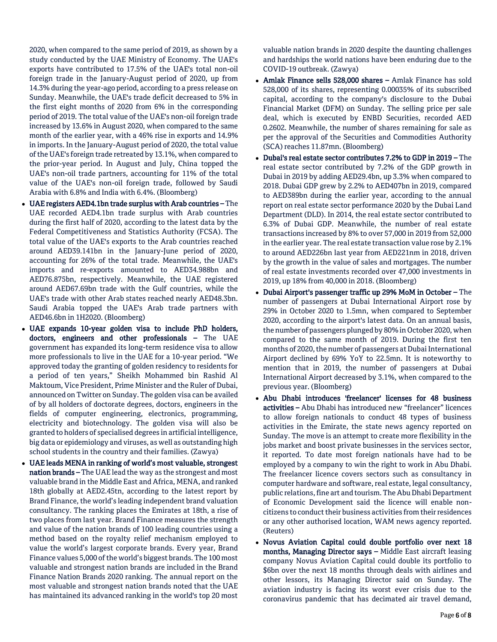2020, when compared to the same period of 2019, as shown by a study conducted by the UAE Ministry of Economy. The UAE's exports have contributed to 17.5% of the UAE's total non-oil foreign trade in the January-August period of 2020, up from 14.3% during the year-ago period, according to a press release on Sunday. Meanwhile, the UAE's trade deficit decreased to 5% in the first eight months of 2020 from 6% in the corresponding period of 2019. The total value of the UAE's non-oil foreign trade increased by 13.6% in August 2020, when compared to the same month of the earlier year, with a 46% rise in exports and 14.9% in imports. In the January-August period of 2020, the total value of the UAE's foreign trade retreated by 13.1%, when compared to the prior-year period. In August and July, China topped the UAE's non-oil trade partners, accounting for 11% of the total value of the UAE's non-oil foreign trade, followed by Saudi Arabia with 6.8% and India with 6.4%. (Bloomberg)

- UAE registers AED4.1bn trade surplus with Arab countries The UAE recorded AED4.1bn trade surplus with Arab countries during the first half of 2020, according to the latest data by the Federal Competitiveness and Statistics Authority (FCSA). The total value of the UAE's exports to the Arab countries reached around AED39.141bn in the January-June period of 2020, accounting for 26% of the total trade. Meanwhile, the UAE's imports and re-exports amounted to AED34.988bn and AED76.875bn, respectively. Meanwhile, the UAE registered around AED67.69bn trade with the Gulf countries, while the UAE's trade with other Arab states reached nearly AED48.3bn. Saudi Arabia topped the UAE's Arab trade partners with AED46.6bn in 1H2020. (Bloomberg)
- UAE expands 10-year golden visa to include PhD holders, doctors, engineers and other professionals – The UAE government has expanded its long-term residence visa to allow more professionals to live in the UAE for a 10-year period. "We approved today the granting of golden residency to residents for a period of ten years," Sheikh Mohammed bin Rashid Al Maktoum, Vice President, Prime Minister and the Ruler of Dubai, announced on Twitter on Sunday. The golden visa can be availed of by all holders of doctorate degrees, doctors, engineers in the fields of computer engineering, electronics, programming, electricity and biotechnology. The golden visa will also be granted to holders of specialised degrees in artificial intelligence, big data or epidemiology and viruses, as well as outstanding high school students in the country and their families. (Zawya)
- UAE leads MENA in ranking of world's most valuable, strongest nation brands - The UAE lead the way as the strongest and most valuable brand in the Middle East and Africa, MENA, and ranked 18th globally at AED2.45tn, according to the latest report by Brand Finance, the world's leading independent brand valuation consultancy. The ranking places the Emirates at 18th, a rise of two places from last year. Brand Finance measures the strength and value of the nation brands of 100 leading countries using a method based on the royalty relief mechanism employed to value the world's largest corporate brands. Every year, Brand Finance values 5,000 of the world's biggest brands. The 100 most valuable and strongest nation brands are included in the Brand Finance Nation Brands 2020 ranking. The annual report on the most valuable and strongest nation brands noted that the UAE has maintained its advanced ranking in the world's top 20 most

valuable nation brands in 2020 despite the daunting challenges and hardships the world nations have been enduring due to the COVID-19 outbreak. (Zawya)

- Amlak Finance sells 528,000 shares Amlak Finance has sold 528,000 of its shares, representing 0.00035% of its subscribed capital, according to the company's disclosure to the Dubai Financial Market (DFM) on Sunday. The selling price per sale deal, which is executed by ENBD Securities, recorded AED 0.2602. Meanwhile, the number of shares remaining for sale as per the approval of the Securities and Commodities Authority (SCA) reaches 11.87mn. (Bloomberg)
- Dubai's real estate sector contributes 7.2% to GDP in 2019 The real estate sector contributed by 7.2% of the GDP growth in Dubai in 2019 by adding AED29.4bn, up 3.3% when compared to 2018. Dubai GDP grew by 2.2% to AED407bn in 2019, compared to AED389bn during the earlier year, according to the annual report on real estate sector performance 2020 by the Dubai Land Department (DLD). In 2014, the real estate sector contributed to 6.3% of Dubai GDP. Meanwhile, the number of real estate transactions increased by 8% to over 57,000 in 2019 from 52,000 in the earlier year. The real estate transaction value rose by 2.1% to around AED226bn last year from AED221nm in 2018, driven by the growth in the value of sales and mortgages. The number of real estate investments recorded over 47,000 investments in 2019, up 18% from 40,000 in 2018. (Bloomberg)
- Dubai Airport's passenger traffic up 29% MoM in October The number of passengers at Dubai International Airport rose by 29% in October 2020 to 1.5mn, when compared to September 2020, according to the airport's latest data. On an annual basis, the number of passengers plunged by 80% in October 2020, when compared to the same month of 2019. During the first ten months of 2020, the number of passengers at Dubai International Airport declined by 69% YoY to 22.5mn. It is noteworthy to mention that in 2019, the number of passengers at Dubai International Airport decreased by 3.1%, when compared to the previous year. (Bloomberg)
- Abu Dhabi introduces 'freelancer' licenses for 48 business activities – Abu Dhabi has introduced new "freelancer" licences to allow foreign nationals to conduct 48 types of business activities in the Emirate, the state news agency reported on Sunday. The move is an attempt to create more flexibility in the jobs market and boost private businesses in the services sector, it reported. To date most foreign nationals have had to be employed by a company to win the right to work in Abu Dhabi. The freelancer licence covers sectors such as consultancy in computer hardware and software, real estate, legal consultancy, public relations, fine art and tourism. The Abu Dhabi Department of Economic Development said the licence will enable noncitizens to conduct their business activities from their residences or any other authorised location, WAM news agency reported. (Reuters)
- Novus Aviation Capital could double portfolio over next 18 months, Managing Director says – Middle East aircraft leasing company Novus Aviation Capital could double its portfolio to \$6bn over the next 18 months through deals with airlines and other lessors, its Managing Director said on Sunday. The aviation industry is facing its worst ever crisis due to the coronavirus pandemic that has decimated air travel demand,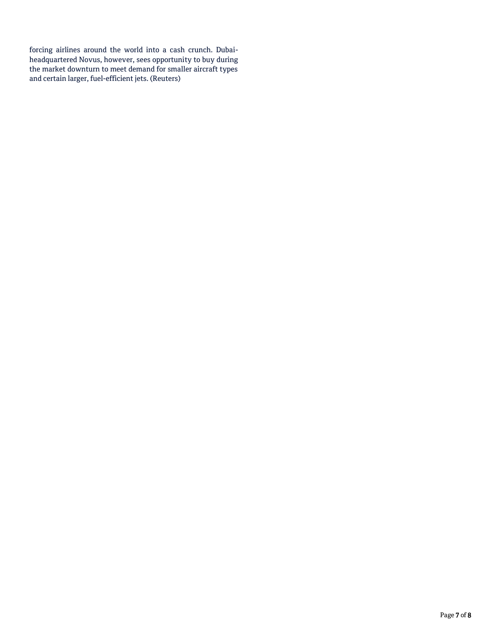forcing airlines around the world into a cash crunch. Dubaiheadquartered Novus, however, sees opportunity to buy during the market downturn to meet demand for smaller aircraft types and certain larger, fuel-efficient jets. (Reuters)